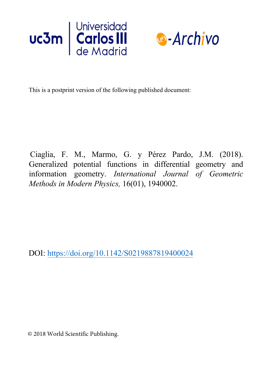



This is a postprint version of the following published document:

Ciaglia, F. M., Marmo, G. y Pérez Pardo, J.M. (2018). Generalized potential functions in differential geometry and information geometry. *International Journal of Geometric Methods in Modern Physics,* 16(01), 1940002.

DOI: https://doi.org/10.1142/S0219887819400024

© 2018 World Scientific Publishing.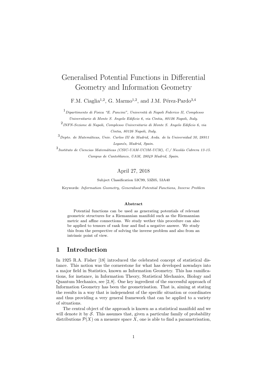# Generalised Potential Functions in Differential Geometry and Information Geometry

F.M. Ciaglia<sup>1,2</sup>, G. Marmo<sup>1,2</sup>, and J.M. Pérez-Pardo<sup>3,4</sup>

 $1$ Dipartimento di Fisica "E. Pancini", Università di Napoli Federico II, Complesso Universitario di Monte S. Angelo Edificio 6, via Cintia, 80126 Napoli, Italy.

2 INFN-Sezione di Napoli, Complesso Universitario di Monte S. Angelo Edificio 6, via Cintia, 80126 Napoli, Italy.

 $3$ Depto. de Matemáticas, Univ. Carlos III de Madrid, Avda. de la Universidad 30, 28911 Leganés, Madrid, Spain.

3<br>Instituto de Ciencias Matemáticas (CSIC-UAM-UC3M-UCM), C./ Nicolás Cabrera 13-15. Campus de Cantoblanco, UAM, 28049 Madrid, Spain.

#### April 27, 2018

Subject Classification 53C99, 53Z05, 53A40

Keywords: Information Geometry, Generalised Potential Functions, Inverse Problem

#### Abstract

Potential functions can be used as generating potentials of relevant geometric structures for a Riemannian manifold such as the Riemannian metric and affine connections. We study wether this procedure can also be applied to tensors of rank four and find a negative answer. We study this from the perspective of solving the inverse problem and also from an intrinsic point of view.

### 1 Introduction

In 1925 R.A. Fisher [18] introduced the celebrated concept of statistical distance. This notion was the cornerstone for what has developed nowadays into a major field in Statistics, known as Information Geometry. This has ramifications, for instance, in Information Theory, Statistical Mechanics, Biology and Quantum Mechanics, see [2, 8]. One key ingredient of the successful approach of Information Geometry has been the geometrisation. That is, aiming at stating the results in a way that is independent of the specific situation or coordinates and thus providing a very general framework that can be applied to a variety of situations.

The central object of the approach is known as a statistical manifold and we will denote it by  $S$ . This assumes that, given a particular family of probability distributions  $\mathcal{P}(X)$  on a measure space X, one is able to find a parametrisation,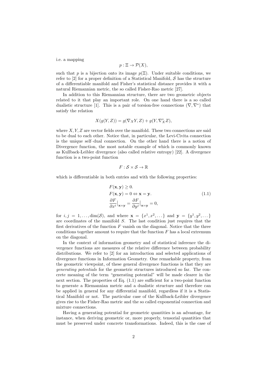i.e. a mapping

$$
p: \Xi \to \mathcal{P}(X),
$$

such that p is a bijection onto its image  $p(\Xi)$ . Under suitable conditions, we refer to  $[2]$  for a proper definition of a Statistical Manifold, S has the structure of a differentiable manifold and Fisher's statistical distance provides it with a natural Riemannian metric, the so called Fisher-Rao metric [27].

In addition to this Riemannian structure, there are two geometric objects related to it that play an important role. On one hand there is a so called dualistic structure [1]. This is a pair of torsion-free connections  $(\nabla, \nabla^*)$  that satisfy the relation

$$
X(g(Y, Z)) = g(\nabla_X Y, Z) + g(Y, \nabla_X^* Z),
$$

where  $X, Y, Z$  are vector fields over the manifold. These two connections are said to be dual to each other. Notice that, in particular, the Levi-Civita connection is the unique self–dual connection. On the other hand there is a notion of Divergence function, the most notable example of which is commonly known as Kullback-Leibler divergence (also called relative entropy) [22]. A divergence function is a two-point function

$$
F:\mathcal{S}\times\mathcal{S}\rightarrow\mathbb{R}
$$

which is differentiable in both entries and with the following properties:

$$
F(\mathbf{x}, \mathbf{y}) \ge 0.
$$
  
\n
$$
F(\mathbf{x}, \mathbf{y}) = 0 \Leftrightarrow \mathbf{x} = \mathbf{y}.
$$
  
\n
$$
\frac{\partial F}{\partial x^{i}}\Big|_{\mathbf{x} = \mathbf{y}} = \frac{\partial F}{\partial y^{j}}\Big|_{\mathbf{x} = \mathbf{y}} = 0,
$$
\n(1.1)

for  $i, j = 1, ..., \dim(\mathcal{S})$ , and where  $\mathbf{x} = \{x^1, x^2, ...\}$  and  $\mathbf{y} = \{y^1, y^2, ...\}$ are coordinates of the manifold S. The last condition just requires that the first derivatives of the function  $F$  vanish on the diagonal. Notice that the three conditions together amount to require that the function  $F$  has a local extremum on the diagonal.

In the context of information geometry and of statistical inference the divergence functions are measures of the relative difference between probability distributions. We refer to [2] for an introduction and selected applications of divergence functions in Information Geometry. One remarkable property, from the geometric viewpoint, of these general divergence functions is that they are generating potentials for the geometric structures introduced so far. The concrete meaning of the term "generating potential" will be made clearer in the next section. The properties of Eq. (1.1) are sufficient for a two-point function to generate a Riemannian metric and a dualistic structure and therefore can be applied in general for any differential manifold, regardless if it is a Statistical Manifold or not. The particular case of the Kullback-Leibler divergence gives rise to the Fisher-Rao metric and the so called exponential connection and mixture connections.

Having a generating potential for geometric quantities is an advantage, for instance, when deriving geometric or, more properly, tensorial quantities that must be preserved under concrete transformations. Indeed, this is the case of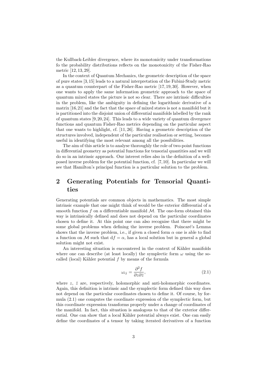the Kullback-Leibler divergence, where its monotonicity under transformations fo the probability distributions reflects on the monotonicity of the Fisher-Rao metric [12, 13, 29].

In the context of Quantum Mechanics, the geometric description of the space of pure states [3, 15] leads to a natural interpretation of the Fubini-Study metric as a quantum counterpart of the Fisher-Rao metric [17, 19, 30]. However, when one wants to apply the same information geometric approach to the space of quantum mixed states the picture is not so clear. There are intrinsic difficulties in the problem, like the ambiguity in defining the logarithmic derivative of a matrix [16,21] and the fact that the space of mixed states is not a manifold but it is partitioned into the disjoint union of differential manifolds labelled by the rank of quantum states  $[9, 20, 24]$ . This leads to a wide variety of quantum divergence functions and quantum Fisher-Rao metrics depending on the particular aspect that one wants to highlight, cf. [11, 26]. Having a geometric description of the structures involved, independent of the particular realisation or setting, becomes useful in identifying the most relevant among all the possibilities.

The aim of this article is to analyse thoroughly the role of two-point functions in differential geometry as potential functions for tensorial quantities and we will do so in an intrinsic approach. Our interest relies also in the definition of a wellposed inverse problem for the potential function, cf. [7, 10]. In particular we will see that Hamilton's principal function is a particular solution to the problem.

## 2 Generating Potentials for Tensorial Quantities

Generating potentials are common objects in mathematics. The most simple intrinsic example that one might think of would be the exterior differential of a smooth function f on a differentiable manifold  $\mathcal{M}$ . The one-form obtained this way is intrinsically defined and does not depend on the particular coordinates chosen to define it. At this point one can also recognise that there might be some global problems when defining the inverse problem. Poincaré's Lemma shows that the inverse problem, i.e., if given a closed form  $\alpha$  one is able to find a function on M such that  $df = \alpha$ , has a local solution but in general a global solution might not exist.

An interesting situation is encountered in the context of Kähler manifolds where one can describe (at least locally) the symplectic form  $\omega$  using the socalled (local) Kähler potential  $f$  by means of the formula

$$
\omega_{ij} = \frac{\partial^2 f}{\partial z \partial \bar{z}},\tag{2.1}
$$

where  $z, \bar{z}$  are, respectively, holomorphic and anti-holomorphic coordinates. Again, this definition is intrinsic and the symplectic form defined this way does not depend on the particular coordinates chosen to define it. Of course, by formula (2.1) one computes the coordinate expression of the symplectic form, but this coordinate expression transforms properly under a change of coordinates of the manifold. In fact, this situation is analogous to that of the exterior differential. One can show that a local Kähler potential always exist. One can easily define the coordinates of a tensor by taking iterated derivatives of a function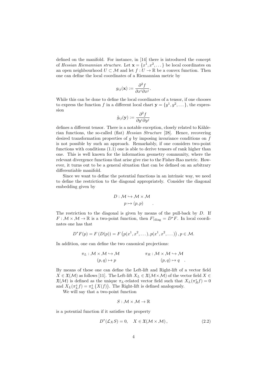defined on the manifold. For instance, in [14] there is introduced the concept of Hessian Riemannian structure. Let  $\mathbf{x} = \{x^1, x^2, \dots\}$  be local coordinates on an open neighbourhood  $U \subset \mathcal{M}$  and let  $f: U \to \mathbb{R}$  be a convex function. Then one can define the local coordinates of a Riemannian metric by

$$
g_{ij}(\mathbf{x}) := \frac{\partial^2 f}{\partial x^i \partial x^j}.
$$

While this can be done to define the local coordinates of a tensor, if one chooses to express the function f in a different local chart  $\mathbf{y} = \{y^1, y^2, \dots\}$ , the expression

$$
\tilde{g}_{ij}(\mathbf{y}) := \frac{\partial^2 f}{\partial y^i \partial y^j}
$$

defines a different tensor. There is a notable exception, closely related to Kählerian functions, the so-called (flat) Hessian Structure [28]. Hence, recovering desired transformation properties of  $q$  by imposing invariance conditions on  $f$ is not possible by such an approach. Remarkably, if one considers two-point functions with conditions (1.1) one is able to derive tensors of rank higher than one. This is well known for the information geometry community, where the relevant divergence functions that arise give rise to the Fisher-Rao metric. However, it turns out to be a general situation that can be defined on an arbitrary differentiable manifold.

Since we want to define the potential functions in an intrinsic way, we need to define the restriction to the diagonal appropriately. Consider the diagonal embedding given by

$$
D: \mathcal{M} \hookrightarrow \mathcal{M} \times \mathcal{M}
$$

$$
p \mapsto (p, p) .
$$

The restriction to the diagonal is given by means of the pull-back by D. If  $F: \mathcal{M} \times \mathcal{M} \to \mathbb{R}$  is a two-point function, then  $F|_{diag} = D^*F$ . In local coordinates one has that

$$
D^*F(p) = F(D(p)) = F(p(x^1, x^2, \dots), p(x^1, x^2, \dots)), p \in \mathcal{M}.
$$

In addition, one can define the two canonical projections:

$$
\pi_L: \mathcal{M} \times \mathcal{M} \hookrightarrow \mathcal{M} \qquad \qquad \pi_R: \mathcal{M} \times \mathcal{M} \hookrightarrow \mathcal{M}
$$

$$
(p, q) \mapsto p \qquad (p, q) \mapsto q \quad .
$$

By means of these one can define the Left-lift and Right-lift of a vector field  $X \in \mathfrak{X}(\mathcal{M})$  as follows [11]. The Left-lift  $X_L \in \mathfrak{X}(\mathcal{M} \times \mathcal{M})$  of the vector field  $X \in$  $\mathfrak{X}(\mathcal{M})$  is defined as the unique  $\pi_L$ -related vector field such that  $X_L(\pi_R^* f) = 0$ and  $X_L(\pi_L^* f) = \pi_L^* (X(f))$ . The Right-lift is defined analogously.

We will say that a two-point function

$$
S:\mathcal{M}\times\mathcal{M}\to\mathbb{R}
$$

is a potential function if it satisfies the property

$$
D^*(\mathcal{L}_X S) = 0, \quad X \in \mathfrak{X}(\mathcal{M} \times \mathcal{M}), \tag{2.2}
$$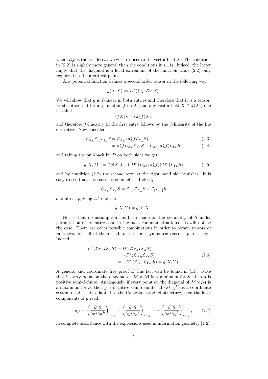where  $\mathcal{L}_X$  is the Lie derivative with respect to the vector field X. The condition in (2.2) is slightly more general than the conditions in (1.1). Indeed, the latter imply that the diagonal is a local extremum of the function while (2.2) only requires it to be a critical point.

Any potential function defines a second order tensor in the following way:

$$
g(X,Y) := D^*(\mathcal{L}_{X_L} \mathcal{L}_{Y_L} S).
$$

We will show that  $g$  is  $f$ -linear in both entries and therefore that it is a tensor. First notice that for any function f on M and any vector field  $X \in \mathfrak{X}(\mathcal{M})$  one has that

$$
(fX)_L=(\pi_L^*f)X_L
$$

and therefore  $f$ -linearity in the first entry follows by the  $f$ -linearity of the Lie derivative. Now consider

$$
\mathcal{L}_{X_L} \mathcal{L}_{(fY)_L} S = \mathcal{L}_{X_L} \left( \pi_L^* f \mathcal{L}_{Y_L} S \right) \tag{2.3}
$$

$$
= \pi_L^* f \mathcal{L}_{X_L} \mathcal{L}_{Y_L} S + \mathcal{L}_{X_L} (\pi_L^* f) \mathcal{L}_{Y_L} S, \tag{2.4}
$$

and taking the pull-back by  $D$  on both sides we get

$$
g(X, fY) = fg(X, Y) + D^*(\mathcal{L}_{X_L}(\pi_L^* f)) D^*(\mathcal{L}_{Y_L} S)
$$
 (2.5)

and by condition (2.2) the second term at the right hand side vanishes. It is easy to see that this tensor is symmetric. Indeed,

$$
\mathcal{L}_{X_L}\mathcal{L}_{Y_L}S = \mathcal{L}_{Y_L}\mathcal{L}_{X_L}S + \mathcal{L}_{[X,Y]}S
$$

and after applying  $D^*$  one gets

$$
g(X, Y) = g(Y, X).
$$

Notice that no assumption has been made on the symmetry of S under permutation of its entries and in the most common situations this will not be the case. There are other possible combinations in order to obtain tensors of rank two, but all of them lead to the same symmetric tensor up to a sign. Indeed,

$$
D^*(\mathcal{L}_{X_L}\mathcal{L}_{Y_L}S) = D^*(\mathcal{L}_{X_R}\mathcal{L}_{Y_R}S)
$$
  
=  $-D^*(\mathcal{L}_{X_R}\mathcal{L}_{Y_L}S)$   
=  $-D^*(\mathcal{L}_{X_L}\mathcal{L}_{Y_R}S) = g(X,Y).$  (2.6)

A general and coordinate free proof of this fact can be found in [11]. Note that if every point on the diagonal of  $\mathcal{M} \times \mathcal{M}$  is a minimum for S, then g is positive semi-definite. Analogously, if every point on the diagonal of  $M \times M$  is a maximum for S, then g is negative semi-definite. If  $\{x^j, y^k\}$  is a coordinate system on  $M \times M$  adapted to the Cartesian product structure, then the local components of g read:

$$
g_{jk} = \left(\frac{\partial^2 S}{\partial x^j \partial x^k}\right)_{x=y} = \left(\frac{\partial^2 S}{\partial y^j \partial y^k}\right)_{x=y} = -\left(\frac{\partial^2 S}{\partial x^j \partial y^k}\right)_{x=y},\qquad(2.7)
$$

in complete accordance with the expressions used in information geometry [1,2].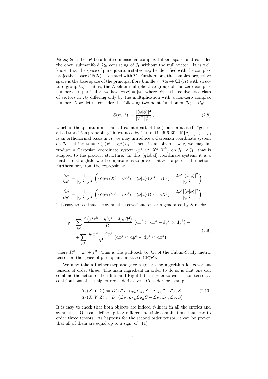*Example 1.* Let  $H$  be a finite-dimensional complex Hilbert space, and consider the open submanifold  $\mathcal{H}_0$  consisting of  $\mathcal H$  without the null vector. It is well known that the space of pure quantum states may be identified with the complex projective space  $\mathbb{CP}(\mathcal{H})$  associated with  $\mathcal{H}$ . Furthermore, the complex projective space is the base space of the principal fibre bundle  $\pi: \mathcal{H}_0 \to \mathbb{CP}(\mathcal{H})$  with structure group  $\mathbb{C}_0$ , that is, the Abelian multiplicative group of non-zero complex numbers. In particular, we have  $\pi(\psi) = [\psi]$ , where  $[\psi]$  is the equivalence class of vectors in  $\mathcal{H}_0$  differing only by the multiplication with a non-zero complex number. Now, let us consider the following two-point function on  $\mathcal{H}_0 \times \mathcal{H}_0$ :

$$
S(\psi, \phi) := \frac{|\langle \psi | \phi \rangle|^2}{|\psi|^2 |\phi|^2},\tag{2.8}
$$

which is the quantum-mechanical counterpart of the (non-normalised) "generalised transition probability" introduced by Cantoni in [5,6,30]. If  $\{e_j\}_{1,\ldots,\text{dim}(\mathcal{H})}$ is an orthonormal basis in  $H$ , we may introduce a Cartesian coordinate system on  $\mathcal{H}_0$  setting  $\psi = \sum_j (x^j + iy^j) \mathbf{e}_j$ . Then, in an obvious way, we may introduce a Cartesian coordinate system  $\{x^j, y^j; X^k, Y^k\}$  on  $\mathcal{H}_0 \times \mathcal{H}_0$  that is adapted to the product structure. In this (global) coordinate system, it is a matter of straightforward computations to prove that  $S$  is a potential function. Furthermore, from the expressions:

$$
\frac{\partial S}{\partial x^j} = \frac{1}{|\psi|^2 |\phi|^2} \left( \langle \psi | \phi \rangle (X^j - iY^j) + \langle \phi | \psi \rangle (X^j + iY^j) - \frac{2x^j |\langle \psi | \phi \rangle|^2}{|\psi|^2} \right),
$$
  

$$
\frac{\partial S}{\partial y^j} = \frac{1}{|\psi|^2 |\phi|^2} \left( \langle \psi | \phi \rangle (Y^j + iX^j) + \langle \phi | \psi \rangle (Y^j - iX^j) - \frac{2y^j |\langle \psi | \phi \rangle|^2}{|\psi|^2} \right),
$$

it is easy to see that the symmetric covariant tensor  $q$  generated by  $S$  reads:

$$
g = \sum_{j,k} \frac{2\left(x^j x^k + y^j y^k - \delta_{jk} R^2\right)}{R^4} \left(\mathrm{d}x^j \otimes \mathrm{d}x^k + \mathrm{d}y^j \otimes \mathrm{d}y^k\right) +
$$
  
+ 
$$
\sum_{j,k} \frac{y^j x^k - y^k x^j}{R^4} \left(\mathrm{d}x^j \otimes \mathrm{d}y^k - \mathrm{d}y^j \otimes \mathrm{d}x^k\right),
$$
 (2.9)

where  $R^2 = \mathbf{x}^2 + \mathbf{y}^2$ . This is the pull-back to  $\mathcal{H}_0$  of the Fubini-Study metric tensor on the space of pure quantum states  $\mathbb{CP}(\mathcal{H})$ .

We may take a further step and give a generating algorithm for covariant tensors of order three. The main ingredient in order to do so is that one can combine the action of Left-lifts and Right-lifts in order to cancel non-tensorial contributions of the higher order derivatives. Consider for example

$$
T_1(X,Y,Z) := D^* \left( \mathcal{L}_{X_L} \mathcal{L}_{Y_R} \mathcal{L}_{Z_R} S - \mathcal{L}_{X_R} \mathcal{L}_{Y_L} \mathcal{L}_{Z_L} S \right),
$$
  
\n
$$
T_2(X,Y,Z) := D^* \left( \mathcal{L}_{X_L} \mathcal{L}_{Y_L} \mathcal{L}_{Z_R} S - \mathcal{L}_{X_R} \mathcal{L}_{Y_R} \mathcal{L}_{Z_L} S \right).
$$
\n
$$
(2.10)
$$

It is easy to check that both objects are indeed f-linear in all the entries and symmetric. One can define up to 8 different possible combinations that lead to order three tensors. As happens for the second order tensor, it can be proven that all of them are equal up to a sign, cf. [11].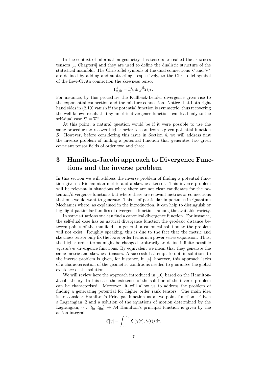In the context of information geometry this tensors are called the skewness tensors [1, Chapter4] and they are used to define the dualistic structure of the statistical manifold. The Christoffel symbols of the dual connections  $\nabla$  and  $\nabla^*$ are defined by adding and subtracting, respectively, to the Christoffel symbol of the Levi-Civita connection the skewness tensor

$$
\Gamma^i_{\pm jk} = \Gamma^i_{jk} \pm g^{il} T_{ljk}.
$$

For instance, by this procedure the Kullback-Leibler divergence gives rise to the exponential connection and the mixture connection. Notice that both right hand sides in (2.10) vanish if the potential function is symmetric, thus recovering the well known result that symmetric divergence functions can lead only to the self-dual case  $\nabla = \nabla^*$ .

At this point, a natural question would be if it were possible to use the same procedure to recover higher order tensors from a given potential function S. However, before considering this issue in Section 4, we will address first the inverse problem of finding a potential function that generates two given covariant tensor fields of order two and three.

## 3 Hamilton-Jacobi approach to Divergence Functions and the inverse problem

In this section we will address the inverse problem of finding a potential function given a Riemannian metric and a skewness tensor. This inverse problem will be relevant in situations where there are not clear candidates for the potential/divergence functions but where there are relevant metrics or connections that one would want to generate. This is of particular importance in Quantum Mechanics where, as explained in the introduction, it can help to distinguish or highlight particular families of divergence functions among the available variety.

In some situations one can find a canonical divergence function. For instance, the self-dual case has as natural divergence function the geodesic distance between points of the manifold. In general, a canonical solution to the problem will not exist. Roughly speaking, this is due to the fact that the metric and skewness tensor only fix the lower order terms in a power series expansion. Thus, the higher order terms might be changed arbitrarily to define infinite possible equivalent divergence functions. By equivalent we mean that they generate the same metric and skewness tensors. A successful attempt to obtain solutions to the inverse problem is given, for instance, in [4], however, this approach lacks of a characterisation of the geometric conditions needed to guarantee the global existence of the solution.

We will review here the approach introduced in [10] based on the Hamilton-Jacobi theory. In this case the existence of the solution of the inverse problem can be characterised. Moreover, it will allow us to address the problem of finding a generating potential for higher order rank tensors. The main idea is to consider Hamilton's Principal function as a two-point function. Given a Lagrangian  $\mathfrak L$  and a solution of the equations of motion determined by the Lagrangian,  $\gamma : [t_{\text{in}}, t_{\text{fin}}] \to M$  Hamilton's principal function is given by the action integral

$$
S[\gamma] = \int_{t_{\text{in}}}^{t_{\text{fin}}} \mathfrak{L}(\gamma(t), \dot{\gamma}(t)) dt.
$$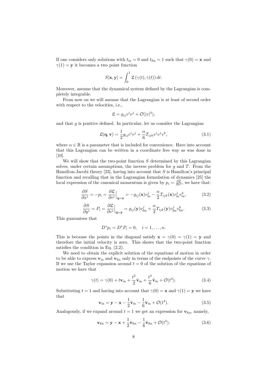If one considers only solutions with  $t_{\text{in}} = 0$  and  $t_{\text{fin}} = 1$  such that  $\gamma(0) = \mathbf{x}$  and  $\gamma(1) = y$  it becomes a two point function

$$
S[\mathbf{x}, \mathbf{y}] = \int_0^1 \mathfrak{L}(\gamma(t), \dot{\gamma}(t)) dt.
$$

Moreover, assume that the dynamical system defined by the Lagrangian is completely integrable.

From now on we will assume that the Lagrangian is at least of second order with respect to the velocities, i.e.,

$$
\mathfrak{L} = g_{ij}v^iv^j + \mathcal{O}(|v|^3),
$$

and that  $g$  is positive defined. In particular, let us consider the Lagrangian

$$
\mathfrak{L}(\mathbf{q}, \mathbf{v}) = \frac{1}{2} g_{ij} v^i v^j + \frac{\alpha}{6} T_{ijk} v^i v^j v^k, \qquad (3.1)
$$

where  $\alpha \in \mathbb{R}$  is a parameter that is included for convenience. Have into account that this Lagrangian can be written in a coordinate free way as was done in [10].

We will show that the two-point function  $S$  determined by this Lagrangian solves, under certain assumptions, the inverse problem for  $q$  and  $T$ . From the Hamilton-Jacobi theory [23], having into account that  $S$  is Hamilton's principal function and recalling that in the Lagrangian formulation of dynamics [25] the local expression of the canonical momentum is given by  $p_i = \frac{\partial \mathfrak{L}}{\partial v^i}$ , we have that:

$$
\frac{\partial S}{\partial x^i} = -p_i = \frac{\partial \mathfrak{L}}{\partial v^i}\Big|_{\mathbf{q} = \mathbf{x}} = -g_{ij}(\mathbf{x})v_{\rm in}^j - \frac{\alpha}{2}T_{ijk}(\mathbf{x})v_{\rm in}^j v_{\rm in}^k,\tag{3.2}
$$

$$
\frac{\partial S}{\partial y^i} = P_i = \frac{\partial \mathfrak{L}}{\partial v^i} \Big|_{\mathbf{q} = \mathbf{y}} = g_{ij}(\mathbf{y}) v_{\text{fin}}^j + \frac{\alpha}{2} T_{ijk}(\mathbf{y}) v_{\text{fin}}^j v_{\text{fin}}^k.
$$
(3.3)

This guarantees that

$$
D^* p_i = D^* P_i = 0, \quad i = 1, \dots, n.
$$

This is because the points in the diagonal satisfy  $\mathbf{x} = \gamma(0) = \gamma(1) = \mathbf{y}$  and therefore the initial velocity is zero. This shows that the two-point function satisfies the condition in Eq. (2.2).

We need to obtain the explicit solution of the equations of motion in order to be able to express  $\mathbf{v}_{in}$  and  $\mathbf{v}_{fin}$  only in terms of the endpoints of the curve  $\gamma$ . If we use the Taylor expansion around  $t = 0$  of the solution of the equations of motion we have that

$$
\gamma(t) = \gamma(0) + t\mathbf{v}_{\rm in} + \frac{t^2}{2}\dot{\mathbf{v}}_{\rm in} + \frac{t^3}{6}\ddot{\mathbf{v}}_{\rm in} + \mathcal{O}(t^4). \tag{3.4}
$$

Substituting  $t = 1$  and having into account that  $\gamma(0) = \mathbf{x}$  and  $\gamma(1) = \mathbf{y}$  we have that

$$
\mathbf{v}_{\rm in} = \mathbf{y} - \mathbf{x} - \frac{1}{2}\dot{\mathbf{v}}_{\rm in} - \frac{1}{6}\ddot{\mathbf{v}}_{\rm in} + \mathcal{O}(t^4). \tag{3.5}
$$

Analogously, if we expand around  $t = 1$  we get an expression for  $v_{fin}$ , namely,

$$
\mathbf{v}_{\text{fin}} = \mathbf{y} - \mathbf{x} + \frac{1}{2}\dot{\mathbf{v}}_{\text{fin}} - \frac{1}{6}\ddot{\mathbf{v}}_{\text{fin}} + \mathcal{O}(t^4). \tag{3.6}
$$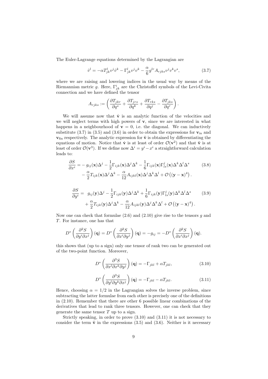The Euler-Lagrange equations determined by the Lagrangian are

$$
\dot{v}^l = -\alpha T^l_{jk} v^j \dot{v}^k - \Gamma^l_{jk} v^j v^k - \frac{\alpha}{6} g^{lr} A_{rjks} v^j v^k v^s,\tag{3.7}
$$

where we are raising and lowering indices in the usual way by means of the Riemannian metric g. Here,  $\Gamma_{jk}^{i}$  are the Christoffel symbols of the Levi-Civita connection and we have defined the tensor

$$
A_{rjks} := \left( \frac{\partial T_{jkr}}{\partial q^s} + \frac{\partial T_{jrs}}{\partial q^k} + \frac{\partial T_{rks}}{\partial q^j} - \frac{\partial T_{jks}}{\partial q^r} \right).
$$

We will assume now that  $\dot{v}$  is an analytic function of the velocities and we will neglect terms with high powers of  $v$ , since we are interested in what happens in a neighbourhood of  $\mathbf{v} = 0$ , i.e. the diagonal. We can inductively substitute (3.7) in (3.5) and (3.6) in order to obtain the expressions for  $v_{in}$  and  $v_{fin}$  respectively. The analytic expression for  $\ddot{v}$  is obtained by differentiating the equations of motion. Notice that  $\dot{\mathbf{v}}$  is at least of order  $\mathcal{O}(\mathbf{v}^2)$  and that  $\ddot{\mathbf{v}}$  is at least of order  $\mathcal{O}(\mathbf{v}^3)$ . If we define now  $\Delta^i = y^i - x^i$  a straightforward calculation leads to:

$$
\frac{\partial S}{\partial x^{i}} = -g_{ij}(\mathbf{x})\Delta^{j} - \frac{1}{2}\Gamma_{ijk}(\mathbf{x})\Delta^{j}\Delta^{k} - \frac{1}{6}\Gamma_{ijk}(\mathbf{x})\Gamma_{ls}^{j}(\mathbf{x})\Delta^{k}\Delta^{l}\Delta^{s} \n- \frac{\alpha}{2}T_{ijk}(\mathbf{x})\Delta^{j}\Delta^{k} - \frac{\alpha}{12}A_{ijkl}(\mathbf{x})\Delta^{j}\Delta^{k}\Delta^{l} + \mathcal{O}((\mathbf{y}-\mathbf{x})^{4}).
$$
\n(3.8)

$$
\frac{\partial S}{\partial y^{i}} = g_{ij}(\mathbf{y})\Delta^{j} - \frac{1}{2}\Gamma_{ijk}(\mathbf{y})\Delta^{j}\Delta^{k} + \frac{1}{6}\Gamma_{ijk}(\mathbf{y})\Gamma_{ls}^{j}(\mathbf{y})\Delta^{k}\Delta^{l}\Delta^{s} + \frac{\alpha}{2}T_{ijk}(\mathbf{y})\Delta^{j}\Delta^{k} - \frac{\alpha}{12}A_{ijkl}(\mathbf{y})\Delta^{j}\Delta^{k}\Delta^{l} + \mathcal{O}((\mathbf{y} - \mathbf{x})^{4}).
$$
\n(3.9)

Now one can check that formulae  $(2.6)$  and  $(2.10)$  give rise to the tensors g and T. For instance, one has that

$$
D^* \left( \frac{\partial^2 S}{\partial y^i \partial x^j} \right) (\mathbf{q}) = D^* \left( \frac{\partial^2 S}{\partial x^i \partial y^j} \right) (\mathbf{q}) = -g_{ij} = -D^* \left( \frac{\partial^2 S}{\partial x^i \partial x^j} \right) (\mathbf{q}).
$$

this shows that (up to a sign) only one tensor of rank two can be generated out of the two-point function. Moreover,

$$
D^* \left( \frac{\partial^3 S}{\partial x^l \partial x^k \partial y^j} \right) (\mathbf{q}) = -\Gamma_{jkl} + \alpha T_{jkl}, \qquad (3.10)
$$

$$
D^* \left( \frac{\partial^3 S}{\partial y^l \partial y^k \partial x^j} \right) (\mathbf{q}) = -\Gamma_{jkl} - \alpha T_{jkl}.
$$
 (3.11)

Hence, choosing  $\alpha = 1/2$  in the Lagrangian solves the inverse problem, since subtracting the latter formulae from each other is precisely one of the definitions in (2.10). Remember that there are other 6 possible linear combinations of the derivatives that lead to rank three tensors. However, one can check that they generate the same tensor  $T$  up to a sign.

Strictly speaking, in order to prove (3.10) and (3.11) it is not necessary to consider the term  $\ddot{v}$  in the expressions (3.5) and (3.6). Neither is it necessary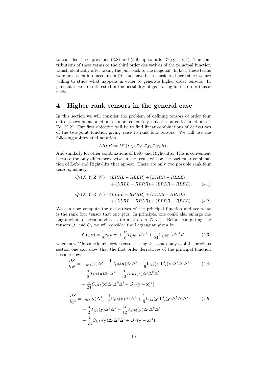to consider the expressions (3.8) and (3.9) up to order  $\mathcal{O}((y - x)^3)$ . The contributions of these terms to the third order derivatives of the principal function vanish identically after taking the pull-back to the diagonal. In fact, these terms were not taken into account in [10] but have been considered here since we are willing to study what happens in order to generate higher order tensors. In particular, we are interested in the possibility of generating fourth order tensor fields.

## 4 Higher rank tensors in the general case

In this section we will consider the problem of defining tensors of order four out of a two-point function, or more concretely, out of a potential function, cf. Eq. (2.2). Our first objective will be to find linear combinations of derivatives of the two-point function giving raise to rank four tensors. We will use the following abbreviated notation

$$
LRLR := D^* \left( \mathcal{L}_{X_L} \mathcal{L}_{Y_R} \mathcal{L}_{Z_L} \mathcal{L}_{W_R} S \right).
$$

And similarly for other combinations of Left- and Right-lifts. This is convenient because the only differences between the terms will be the particular combination of Left- and Right-lifts that appear. There are only two possible rank four tensors, namely

$$
Q_1(X, Y, Z, W) = (LRRL - RLLR) + (LRRR - RLLL)
$$
  
+ 
$$
+ (LRLL - RLRR) + (LRLR - RLRL),
$$
 (4.1)

$$
Q_2(X, Y, Z, W) = (LLLL - RRRR) + (LLLR - RRRL)
$$

$$
+ (LLRL - RRLR) + (LLRR - RRLL).
$$
 (4.2)

We can now compute the derivatives of the principal function and see what is the rank four tensor that one gets. In principle, one could also enlarge the Lagrangian to accommodate a term of order  $\mathcal{O}(\mathbf{v}^4)$ . Before computing the tensors  $Q_1$  and  $Q_2$  we will consider the Lagrangian given by

$$
\mathfrak{L}(\mathbf{q}, \mathbf{v}) = \frac{1}{2} g_{ij} v^i v^j + \frac{\alpha}{6} T_{ijk} v^i v^j v^k + \frac{1}{24} C_{ijkl} v^i v^j v^k v^l,
$$
(4.3)

where now  $C$  is some fourth order tensor. Using the same analysis of the previous section one can show that the first order derivatives of the principal function become now:

$$
\frac{\partial S}{\partial x^{i}} = -g_{ij}(\mathbf{x})\Delta^{j} - \frac{1}{2}\Gamma_{ijk}(\mathbf{x})\Delta^{j}\Delta^{k} - \frac{1}{6}\Gamma_{ijk}(\mathbf{x})\Gamma_{ls}^{j}(\mathbf{x})\Delta^{k}\Delta^{l}\Delta^{s} \n- \frac{\alpha}{2}T_{ijk}(\mathbf{x})\Delta^{j}\Delta^{k} - \frac{\alpha}{12}A_{ijkl}(\mathbf{x})\Delta^{j}\Delta^{k}\Delta^{l} \n- \frac{1}{24}C_{ijkl}(\mathbf{x})\Delta^{j}\Delta^{k}\Delta^{l} + \mathcal{O}((\mathbf{y} - \mathbf{x})^{4}).
$$
\n(4.4)

$$
\frac{\partial S}{\partial y^{i}} = g_{ij}(\mathbf{y})\Delta^{j} - \frac{1}{2}\Gamma_{ijk}(\mathbf{y})\Delta^{j}\Delta^{k} + \frac{1}{6}\Gamma_{ijk}(\mathbf{y})\Gamma^{j}_{ls}(\mathbf{y})\Delta^{k}\Delta^{l}\Delta^{s} + \frac{\alpha}{2}T_{ijk}(\mathbf{y})\Delta^{j}\Delta^{k} - \frac{\alpha}{12}A_{ijkl}(\mathbf{y})\Delta^{j}\Delta^{k}\Delta^{l} + \frac{1}{24}C_{ijkl}(\mathbf{y})\Delta^{j}\Delta^{k}\Delta^{l} + \mathcal{O}((\mathbf{y}-\mathbf{x})^{4}).
$$
\n(4.5)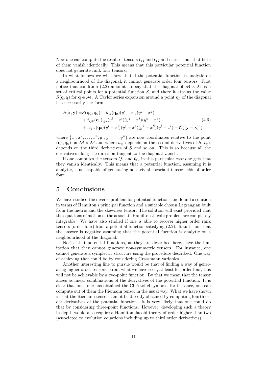Now one can compute the result of tensors  $Q_1$  and  $Q_2$  and it turns out that both of them vanish identically. This means that this particular potential function does not generate rank four tensors.

In what follows we will show that if the potential function is analytic on a neighbourhood of the diagonal, it cannot generate order four tensors. First notice that condition (2.2) amounts to say that the diagonal of  $\mathcal{M} \times \mathcal{M}$  is a set of critical points for a potential function  $S$ , and there it attains the value  $S(q, q)$  for  $q \in M$ . A Taylor series expansion around a point  $q_0$  of the diagonal has necessarily the form

$$
S(\mathbf{x}, \mathbf{y}) = S(\mathbf{q_0}, \mathbf{q_0}) + h_{ij}(\mathbf{q_0})(y^i - x^i)(y^j - x^j) ++ t_{ijk}(\mathbf{q_0})_{ijk}(y^i - x^i)(y^j - x^j)(y^k - x^k) ++ c_{ijkl}(\mathbf{q_0})(y^i - x^i)(y^j - x^j)(y^k - x^k)(y^l - x^l) + \mathcal{O}((\mathbf{y} - \mathbf{x})^5),
$$
\n(4.6)

where  $\{x^1, x^2, \ldots, x^n, y^1, y^2, \ldots, y^n\}$  are now coordinates relative to the point  $(q_0, q_0)$  on  $M \times M$  and where  $h_{ij}$  depends on the second derivatives of S,  $t_{ijk}$ depends on the third derivatives of  $S$  and so on. This is so because all the derivatives along the direction tangent to the diagonal vanish.

If one computes the tensors  $Q_1$  and  $Q_2$  in this particular case one gets that they vanish identically. This means that a potential function, assuming it is analytic, is not capable of generating non-trivial covariant tensor fields of order four.

## 5 Conclusions

We have studied the inverse problem for potential functions and found a solution in terms of Hamilton's principal function and a suitable chosen Lagrangian built from the metric and the skewness tensor. The solution will exist provided that the equations of motion of the associate Hamilton-Jacobi problem are completely integrable. We have also studied if one is able to recover higher order rank tensors (order four) from a potential function satisfying (2.2). It turns out that the answer is negative assuming that the potential fucntion is analytic on a neighbourhood of the diagonal.

Notice that potential functions, as they are described here, have the limitation that they cannot generate non-symmetric tensors. For instance, one cannot generate a symplectic structure using the procedure described. One way of achieving that could be by considering Grassmann variables.

Another interesting line to pursue would be that of finding a way of generating higher order tensors. From what we have seen, at least for order four, this will not be achievable by a two-point function. By that we mean that the tensor arises as linear combinations of the derivatives of the potential function. It is clear that once one has obtained the Christoffel symbols, for instance, one can compute out of them the Riemann tensor in the usual way. What we have shown is that the Riemann tensor cannot be directly obtained by computing fourth order derivatives of the potential function. It is very likely that one could do that by considering three-point functions. However, developing such a theory in depth would also require a Hamilton-Jacobi theory of order higher than two (associated to evolution equations including up to third order derivatives).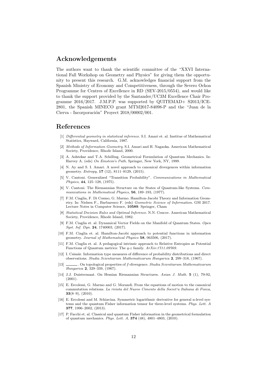## Acknowledgements

The authors want to thank the scientific committee of the "XXVI International Fall Workshop on Geometry and Physics" for giving them the opportunity to present this research. G.M. acknowledges financial support from the Spanish Ministry of Economy and Competitiveness, through the Severo Ochoa Programme for Centres of Excellence in RD (SEV-2015/0554), and would like to thank the support provided by the Santander/UC3M Excellence Chair Programme  $2016/2017$ . J.M.P.P. was supported by QUITEMAD+ S2013/ICE-2801, the Spanish MINECO grant MTM2017-84098-P and the "Juan de la Cierva - Incorporación" Proyect  $2018/00002/001$ .

## References

- [1] Differential geometry in statistical inference. S.I. Amari et. al. Institue of Mathematical Statistics, Hayward, California, 1987.
- [2] Methods of Information Geometry. S.I. Amari and H. Nagaoka. American Mathematical Society, Providence, Rhode Island, 2000.
- [3] A. Ashtekar and T.A. Schilling. Geometrical Formulation of Quantum Mechanics. In: Harvey A. (eds) On Einstein's Path. Springer, New York, NY, 1999.
- [4] N. Ay and S. I. Amari. A novel approach to canonical divergences within information geometry. Entropy, 17 (12), 8111–8129, (2015).
- [5] V. Cantoni. Generalized "Transition Probability". Communications in Mathematical Physics, 44, 125–128, (1975).
- [6] V. Cantoni. The Riemannian Structure on the States of Quantum-like Systems. Communications in Mathematical Physics, 56, 189-193, (1977).
- [7] F.M. Ciaglia, F. Di Cosmo, G. Marmo. Hamilton-Jacobi Theory and Information Geometry. In: Nielsen F., Barbaresco F. (eds) Geometric Science of Information. GSI 2017. Lecture Notes in Computer Science, 10589. Springer, Cham
- [8] Statistical Decision Rules and Optimal Inference. N.N. Cencov. American Mathematical Society, Providence, Rhode Island, 1982.
- [9] F.M. Ciaglia et. al. Dynamical Vector Fields on the Manifold of Quantum States. Open Syst. Inf. Dyn. 24, 1740003, (2017).
- [10] F.M. Ciaglia et. al. Hamilton-Jacobi approach to potential functions in information geometry. Journal of Mathematical Physics 58, 063506, (2017).
- [11] F.M. Ciaglia et. al. A pedagogical intrinsic approach to Relative Entropies as Potential Functions of Quantum metrics: The q-z family. ArXiv:1711.09769.
- [12] I. Csiszár. Information type measures of difference of probability distributions and direct observations. Studia Scientiarum Mathematicarum Hungarica 2, 299–318, (1967).
- [13] . On topological properties of f-divergence. Studia Scientiarum Mathematicarum Hungarica 2, 329–339, (1967).
- [14] J.J. Duistermaat. On Hessian Riemannian Structures. Asian J. Math. 5 (1), 79-92, (2001).
- [15] E. Ercolessi, G. Marmo and G. Morandi. From the equations of motion to the canonical commutation relations. La rivista del Nuovo Cimento della Societ'a Italiana di Fisica,  $33(8-9)$ ,  $(2010)$ .
- [16] E. Ercolessi and M. Schiavina. Symmetric logarithmic derivative for general n-level systems and the quantum Fisher information tensor for three-level systems. Phys. Lett. A 377, 1996–2002, (2013).
- [17] P. Facchi et. al. Classical and quantum Fisher information in the geometrical formulation of quantum mechanics. Phys. Lett. A, 374 (48), 4801–4803, (2010).